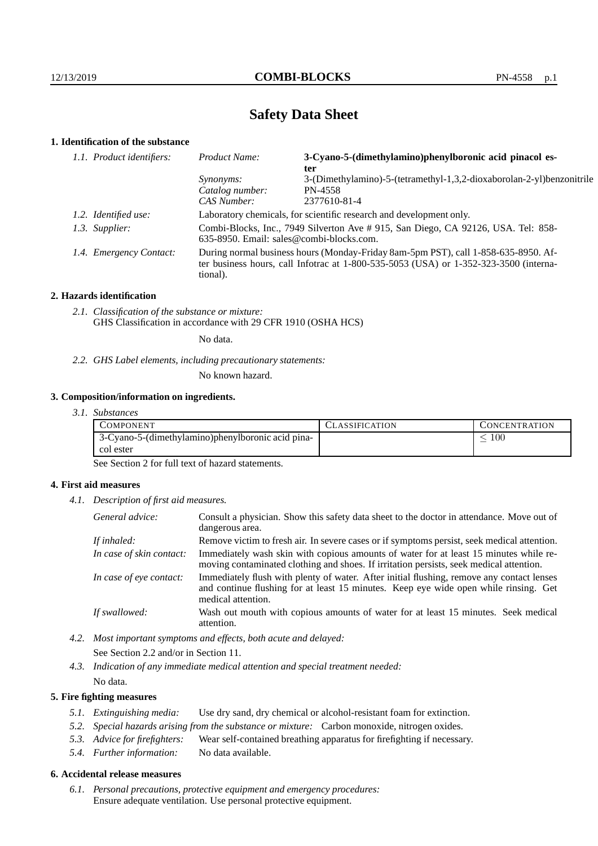# **Safety Data Sheet**

## **1. Identification of the substance**

| 1.1. Product identifiers: | 3-Cyano-5-(dimethylamino)phenylboronic acid pinacol es-<br>Product Name:<br>ter                                                                                                         |                                                                                  |
|---------------------------|-----------------------------------------------------------------------------------------------------------------------------------------------------------------------------------------|----------------------------------------------------------------------------------|
|                           | <i>Synonyms:</i><br>Catalog number:                                                                                                                                                     | 3-(Dimethylamino)-5-(tetramethyl-1,3,2-dioxaborolan-2-yl)benzonitrile<br>PN-4558 |
|                           | CAS Number:                                                                                                                                                                             | 2377610-81-4                                                                     |
| 1.2. Identified use:      | Laboratory chemicals, for scientific research and development only.                                                                                                                     |                                                                                  |
| 1.3. Supplier:            | Combi-Blocks, Inc., 7949 Silverton Ave # 915, San Diego, CA 92126, USA. Tel: 858-<br>$635-8950$ . Email: sales@combi-blocks.com.                                                        |                                                                                  |
| 1.4. Emergency Contact:   | During normal business hours (Monday-Friday 8am-5pm PST), call 1-858-635-8950. Af-<br>ter business hours, call Infotrac at 1-800-535-5053 (USA) or 1-352-323-3500 (interna-<br>tional). |                                                                                  |

## **2. Hazards identification**

*2.1. Classification of the substance or mixture:* GHS Classification in accordance with 29 CFR 1910 (OSHA HCS)

No data.

*2.2. GHS Label elements, including precautionary statements:*

No known hazard.

## **3. Composition/information on ingredients.**

*3.1. Substances*

| COMPONENT                                           | CLASSIFICATION | CONCENTRATION |
|-----------------------------------------------------|----------------|---------------|
| 1 3-Cyano-5-(dimethylamino)phenylboronic acid pina- |                | 100           |
| col ester                                           |                |               |

See Section 2 for full text of hazard statements.

## **4. First aid measures**

*4.1. Description of first aid measures.*

| General advice:          | Consult a physician. Show this safety data sheet to the doctor in attendance. Move out of<br>dangerous area.                                                                                            |  |
|--------------------------|---------------------------------------------------------------------------------------------------------------------------------------------------------------------------------------------------------|--|
| If inhaled:              | Remove victim to fresh air. In severe cases or if symptoms persist, seek medical attention.                                                                                                             |  |
| In case of skin contact: | Immediately wash skin with copious amounts of water for at least 15 minutes while re-<br>moving contaminated clothing and shoes. If irritation persists, seek medical attention.                        |  |
| In case of eye contact:  | Immediately flush with plenty of water. After initial flushing, remove any contact lenses<br>and continue flushing for at least 15 minutes. Keep eye wide open while rinsing. Get<br>medical attention. |  |
| If swallowed:            | Wash out mouth with copious amounts of water for at least 15 minutes. Seek medical<br>attention.                                                                                                        |  |

*4.2. Most important symptoms and effects, both acute and delayed:* See Section 2.2 and/or in Section 11.

*4.3. Indication of any immediate medical attention and special treatment needed:* No data.

## **5. Fire fighting measures**

- *5.1. Extinguishing media:* Use dry sand, dry chemical or alcohol-resistant foam for extinction.
- *5.2. Special hazards arising from the substance or mixture:* Carbon monoxide, nitrogen oxides.
- *5.3. Advice for firefighters:* Wear self-contained breathing apparatus for firefighting if necessary.
- *5.4. Further information:* No data available.

## **6. Accidental release measures**

*6.1. Personal precautions, protective equipment and emergency procedures:* Ensure adequate ventilation. Use personal protective equipment.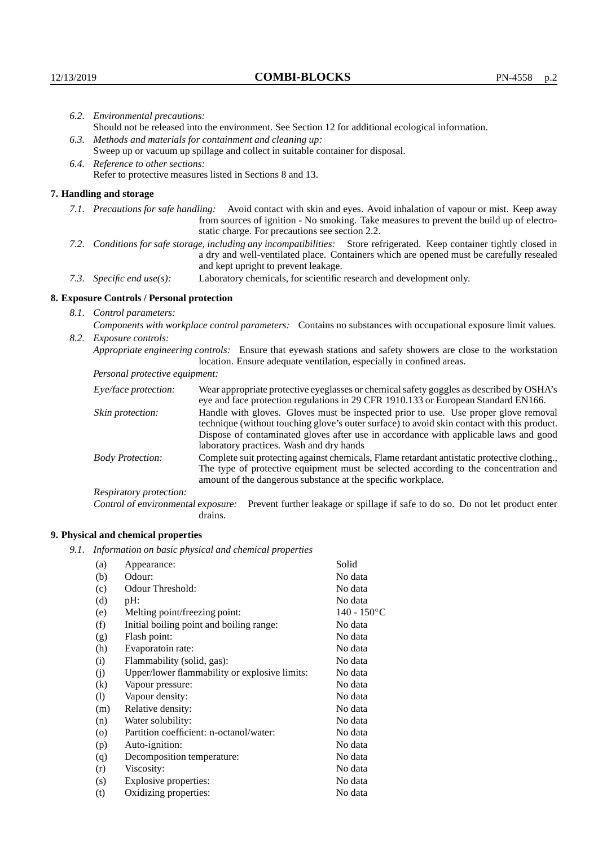| 6.2. Environmental precautions: |                                                                                                                                                                                                                                                            |                                                                                                                                                                                                                                                                                                                 |  |
|---------------------------------|------------------------------------------------------------------------------------------------------------------------------------------------------------------------------------------------------------------------------------------------------------|-----------------------------------------------------------------------------------------------------------------------------------------------------------------------------------------------------------------------------------------------------------------------------------------------------------------|--|
|                                 | Should not be released into the environment. See Section 12 for additional ecological information.                                                                                                                                                         |                                                                                                                                                                                                                                                                                                                 |  |
|                                 | 6.3. Methods and materials for containment and cleaning up:                                                                                                                                                                                                |                                                                                                                                                                                                                                                                                                                 |  |
|                                 |                                                                                                                                                                                                                                                            | Sweep up or vacuum up spillage and collect in suitable container for disposal.                                                                                                                                                                                                                                  |  |
|                                 | 6.4. Reference to other sections:                                                                                                                                                                                                                          |                                                                                                                                                                                                                                                                                                                 |  |
|                                 |                                                                                                                                                                                                                                                            | Refer to protective measures listed in Sections 8 and 13.                                                                                                                                                                                                                                                       |  |
|                                 | 7. Handling and storage                                                                                                                                                                                                                                    |                                                                                                                                                                                                                                                                                                                 |  |
|                                 |                                                                                                                                                                                                                                                            | 7.1. Precautions for safe handling: Avoid contact with skin and eyes. Avoid inhalation of vapour or mist. Keep away<br>from sources of ignition - No smoking. Take measures to prevent the build up of electro-<br>static charge. For precautions see section 2.2.                                              |  |
|                                 | 7.2. Conditions for safe storage, including any incompatibilities: Store refrigerated. Keep container tightly closed in<br>a dry and well-ventilated place. Containers which are opened must be carefully resealed<br>and kept upright to prevent leakage. |                                                                                                                                                                                                                                                                                                                 |  |
|                                 | Laboratory chemicals, for scientific research and development only.<br>7.3. Specific end $use(s)$ :                                                                                                                                                        |                                                                                                                                                                                                                                                                                                                 |  |
|                                 | 8. Exposure Controls / Personal protection                                                                                                                                                                                                                 |                                                                                                                                                                                                                                                                                                                 |  |
|                                 | 8.1. Control parameters:                                                                                                                                                                                                                                   |                                                                                                                                                                                                                                                                                                                 |  |
|                                 |                                                                                                                                                                                                                                                            | Components with workplace control parameters: Contains no substances with occupational exposure limit values.                                                                                                                                                                                                   |  |
| 8.2.                            | Exposure controls:                                                                                                                                                                                                                                         |                                                                                                                                                                                                                                                                                                                 |  |
|                                 |                                                                                                                                                                                                                                                            | Appropriate engineering controls: Ensure that eyewash stations and safety showers are close to the workstation<br>location. Ensure adequate ventilation, especially in confined areas.                                                                                                                          |  |
|                                 | Personal protective equipment:                                                                                                                                                                                                                             |                                                                                                                                                                                                                                                                                                                 |  |
|                                 | Eye/face protection:                                                                                                                                                                                                                                       | Wear appropriate protective eyeglasses or chemical safety goggles as described by OSHA's<br>eye and face protection regulations in 29 CFR 1910.133 or European Standard EN166.                                                                                                                                  |  |
|                                 | Skin protection:                                                                                                                                                                                                                                           | Handle with gloves. Gloves must be inspected prior to use. Use proper glove removal<br>technique (without touching glove's outer surface) to avoid skin contact with this product.<br>$\mathbf{D}$ , and the contract of the component of the component of the condition of the component of $\mathbf{A}$ , and |  |

| Eye/face protection:               | Wear appropriate protective eyeglasses or chemical safety goggles as described by OSHA's<br>eye and face protection regulations in 29 CFR 1910.133 or European Standard EN166.                                                                                                                                         |  |  |
|------------------------------------|------------------------------------------------------------------------------------------------------------------------------------------------------------------------------------------------------------------------------------------------------------------------------------------------------------------------|--|--|
| Skin protection:                   | Handle with gloves. Gloves must be inspected prior to use. Use proper glove removal<br>technique (without touching glove's outer surface) to avoid skin contact with this product.<br>Dispose of contaminated gloves after use in accordance with applicable laws and good<br>laboratory practices. Wash and dry hands |  |  |
| <b>Body Protection:</b>            | Complete suit protecting against chemicals, Flame retardant antistatic protective clothing.,<br>The type of protective equipment must be selected according to the concentration and<br>amount of the dangerous substance at the specific workplace.                                                                   |  |  |
| Respiratory protection:            |                                                                                                                                                                                                                                                                                                                        |  |  |
| Control of environmental exposure: | Prevent further leakage or spillage if safe to do so. Do not let product enter<br>drains.                                                                                                                                                                                                                              |  |  |

# **9. Physical and chemical properties**

*9.1. Information on basic physical and chemical properties*

| (a)     | Appearance:                                   | Solid          |
|---------|-----------------------------------------------|----------------|
| (b)     | Odour:                                        | No data        |
| (c)     | Odour Threshold:                              | No data        |
| (d)     | pH:                                           | No data        |
| (e)     | Melting point/freezing point:                 | $140 - 150$ °C |
| (f)     | Initial boiling point and boiling range:      | No data        |
| (g)     | Flash point:                                  | No data        |
| (h)     | Evaporatoin rate:                             | No data        |
| (i)     | Flammability (solid, gas):                    | No data        |
| (j)     | Upper/lower flammability or explosive limits: | No data        |
| (k)     | Vapour pressure:                              | No data        |
| (1)     | Vapour density:                               | No data        |
| (m)     | Relative density:                             | No data        |
| (n)     | Water solubility:                             | No data        |
| $\circ$ | Partition coefficient: n-octanol/water:       | No data        |
| (p)     | Auto-ignition:                                | No data        |
| (q)     | Decomposition temperature:                    | No data        |
| (r)     | Viscosity:                                    | No data        |
| (s)     | Explosive properties:                         | No data        |
| (t)     | Oxidizing properties:                         | No data        |
|         |                                               |                |